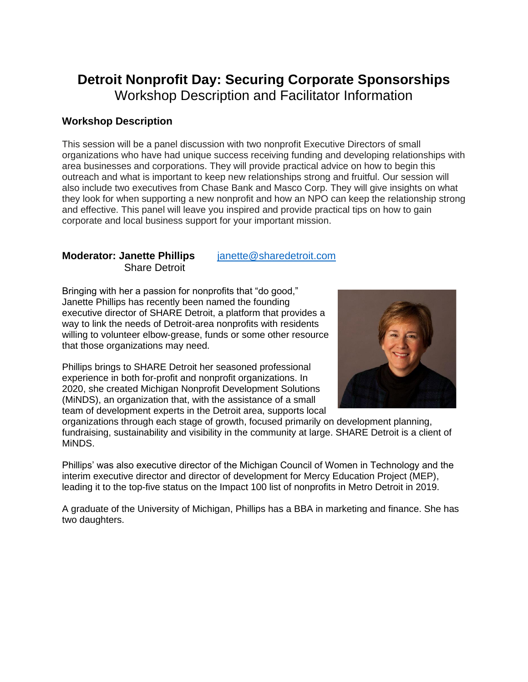## **Detroit Nonprofit Day: Securing Corporate Sponsorships** Workshop Description and Facilitator Information

## **Workshop Description**

This session will be a panel discussion with two nonprofit Executive Directors of small organizations who have had unique success receiving funding and developing relationships with area businesses and corporations. They will provide practical advice on how to begin this outreach and what is important to keep new relationships strong and fruitful. Our session will also include two executives from Chase Bank and Masco Corp. They will give insights on what they look for when supporting a new nonprofit and how an NPO can keep the relationship strong and effective. This panel will leave you inspired and provide practical tips on how to gain corporate and local business support for your important mission.

## **Moderator: Janette Phillips** [janette@sharedetroit.com](mailto:janette@sharedetroit.com) Share Detroit

Bringing with her a passion for nonprofits that "do good," Janette Phillips has recently been named the founding executive director of SHARE Detroit, a platform that provides a way to link the needs of Detroit-area nonprofits with residents willing to volunteer elbow-grease, funds or some other resource that those organizations may need.

Phillips brings to SHARE Detroit her seasoned professional experience in both for-profit and nonprofit organizations. In 2020, she created Michigan Nonprofit Development Solutions (MiNDS), an organization that, with the assistance of a small team of development experts in the Detroit area, supports local



organizations through each stage of growth, focused primarily on development planning, fundraising, sustainability and visibility in the community at large. SHARE Detroit is a client of MiNDS.

Phillips' was also executive director of the Michigan Council of Women in Technology and the interim executive director and director of development for Mercy Education Project (MEP), leading it to the top-five status on the Impact 100 list of nonprofits in Metro Detroit in 2019.

A graduate of the University of Michigan, Phillips has a BBA in marketing and finance. She has two daughters.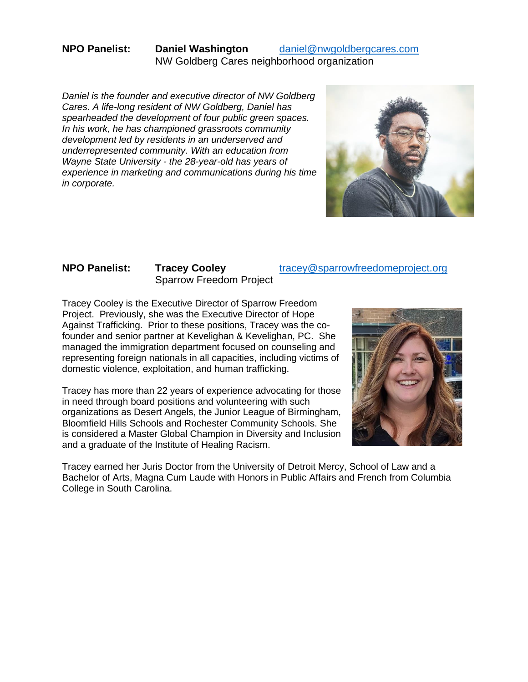## **NPO Panelist: Daniel Washington** [daniel@nwgoldbergcares.com](mailto:daniel@nwgoldbergcares.com) NW Goldberg Cares neighborhood organization

*Daniel is the founder and executive director of NW Goldberg Cares. A life-long resident of NW Goldberg, Daniel has spearheaded the development of four public green spaces. In his work, he has championed grassroots community development led by residents in an underserved and underrepresented community. With an education from Wayne State University - the 28-year-old has years of experience in marketing and communications during his time in corporate.* 



# Sparrow Freedom Project

### **NPO Panelist: Tracey Cooley** tracey@sparrowfreedomeproject.org

Tracey Cooley is the Executive Director of Sparrow Freedom Project. Previously, she was the Executive Director of Hope Against Trafficking. Prior to these positions, Tracey was the cofounder and senior partner at Kevelighan & Kevelighan, PC. She managed the immigration department focused on counseling and representing foreign nationals in all capacities, including victims of domestic violence, exploitation, and human trafficking.

Tracey has more than 22 years of experience advocating for those in need through board positions and volunteering with such organizations as Desert Angels, the Junior League of Birmingham, Bloomfield Hills Schools and Rochester Community Schools. She is considered a Master Global Champion in Diversity and Inclusion and a graduate of the Institute of Healing Racism.



Tracey earned her Juris Doctor from the University of Detroit Mercy, School of Law and a Bachelor of Arts, Magna Cum Laude with Honors in Public Affairs and French from Columbia College in South Carolina.